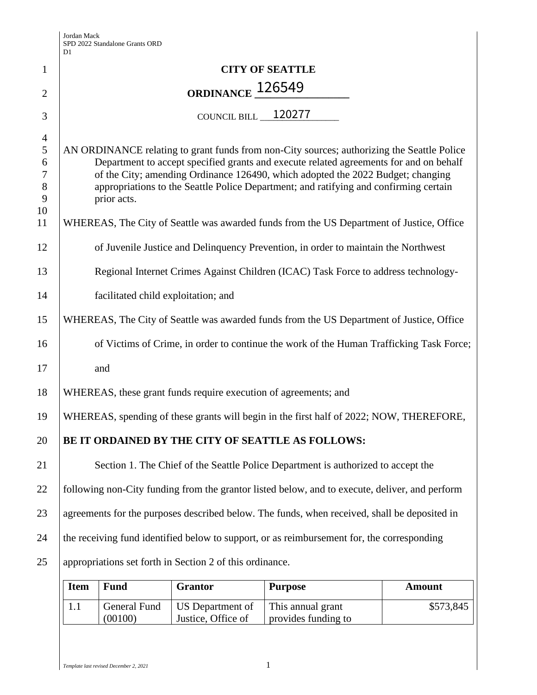|                       | D1                                                                                                                                                                        |
|-----------------------|---------------------------------------------------------------------------------------------------------------------------------------------------------------------------|
| 1                     | <b>CITY OF SEATTLE</b>                                                                                                                                                    |
| $\overline{2}$        | ORDINANCE 126549                                                                                                                                                          |
| 3                     | COUNCIL BILL 120277                                                                                                                                                       |
| $\overline{4}$        |                                                                                                                                                                           |
| $\sqrt{5}$            | AN ORDINANCE relating to grant funds from non-City sources; authorizing the Seattle Police                                                                                |
| 6<br>$\boldsymbol{7}$ | Department to accept specified grants and execute related agreements for and on behalf<br>of the City; amending Ordinance 126490, which adopted the 2022 Budget; changing |
| $\,8\,$               | appropriations to the Seattle Police Department; and ratifying and confirming certain                                                                                     |
| 9                     | prior acts.                                                                                                                                                               |
| 10                    |                                                                                                                                                                           |
| 11                    | WHEREAS, The City of Seattle was awarded funds from the US Department of Justice, Office                                                                                  |
| 12                    | of Juvenile Justice and Delinquency Prevention, in order to maintain the Northwest                                                                                        |
| 13                    | Regional Internet Crimes Against Children (ICAC) Task Force to address technology-                                                                                        |
| 14                    | facilitated child exploitation; and                                                                                                                                       |
| 15                    | WHEREAS, The City of Seattle was awarded funds from the US Department of Justice, Office                                                                                  |
| 16                    | of Victims of Crime, in order to continue the work of the Human Trafficking Task Force;                                                                                   |
| 17                    | and                                                                                                                                                                       |
| 18                    | WHEREAS, these grant funds require execution of agreements; and                                                                                                           |
| 19                    | WHEREAS, spending of these grants will begin in the first half of 2022; NOW, THEREFORE,                                                                                   |
| 20                    | BE IT ORDAINED BY THE CITY OF SEATTLE AS FOLLOWS:                                                                                                                         |
| 21                    | Section 1. The Chief of the Seattle Police Department is authorized to accept the                                                                                         |
| 22                    | following non-City funding from the grantor listed below, and to execute, deliver, and perform                                                                            |
| 23                    | agreements for the purposes described below. The funds, when received, shall be deposited in                                                                              |
| 24                    | the receiving fund identified below to support, or as reimbursement for, the corresponding                                                                                |
| 25                    | appropriations set forth in Section 2 of this ordinance.                                                                                                                  |
|                       |                                                                                                                                                                           |

| <b>Item</b> | <b>Fund</b> | <b>Grantor</b>                  | <b>Purpose</b>      | Amount    |
|-------------|-------------|---------------------------------|---------------------|-----------|
|             |             | General Fund   US Department of | This annual grant   | \$573,845 |
|             | (00100)     | Justice, Office of              | provides funding to |           |

*Template last revised December 2, 2021* 1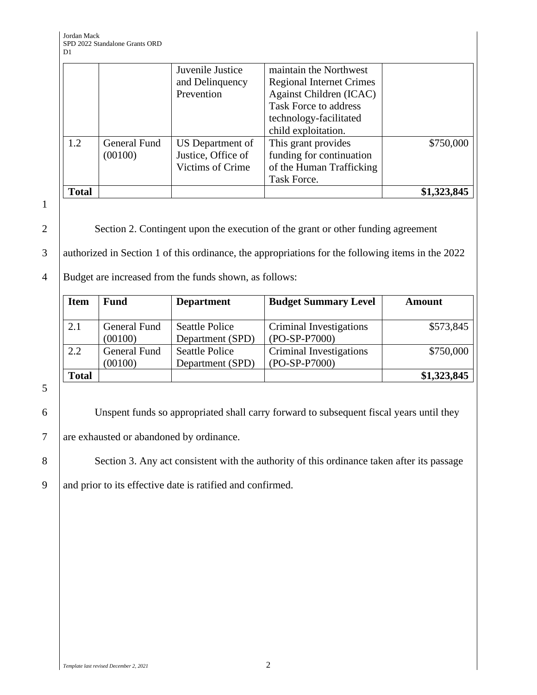|              |              | Juvenile Justice<br>and Delinquency<br>Prevention | maintain the Northwest<br><b>Regional Internet Crimes</b><br>Against Children (ICAC)<br><b>Task Force to address</b> |             |
|--------------|--------------|---------------------------------------------------|----------------------------------------------------------------------------------------------------------------------|-------------|
|              |              |                                                   | technology-facilitated                                                                                               |             |
|              |              |                                                   | child exploitation.                                                                                                  |             |
| 1.2          | General Fund | US Department of                                  | This grant provides                                                                                                  | \$750,000   |
|              | (00100)      | Justice, Office of                                | funding for continuation                                                                                             |             |
|              |              | <b>Victims of Crime</b>                           | of the Human Trafficking                                                                                             |             |
|              |              |                                                   | Task Force.                                                                                                          |             |
| <b>Total</b> |              |                                                   |                                                                                                                      | \$1,323,845 |

1

2 Section 2. Contingent upon the execution of the grant or other funding agreement

3 authorized in Section 1 of this ordinance, the appropriations for the following items in the 2022

## 4 Budget are increased from the funds shown, as follows:

| <b>Item</b>  | <b>Fund</b>             | <b>Department</b>                         | <b>Budget Summary Level</b>                | <b>Amount</b> |
|--------------|-------------------------|-------------------------------------------|--------------------------------------------|---------------|
| 2.1          | General Fund<br>(00100) | <b>Seattle Police</b><br>Department (SPD) | Criminal Investigations<br>$(PO-SP-P7000)$ | \$573,845     |
| 2.2          | General Fund<br>(00100) | <b>Seattle Police</b><br>Department (SPD) | Criminal Investigations<br>(PO-SP-P7000)   | \$750,000     |
| <b>Total</b> |                         |                                           |                                            | \$1,323,845   |

5

6 Unspent funds so appropriated shall carry forward to subsequent fiscal years until they

7 are exhausted or abandoned by ordinance.

8 Section 3. Any act consistent with the authority of this ordinance taken after its passage

9 and prior to its effective date is ratified and confirmed.